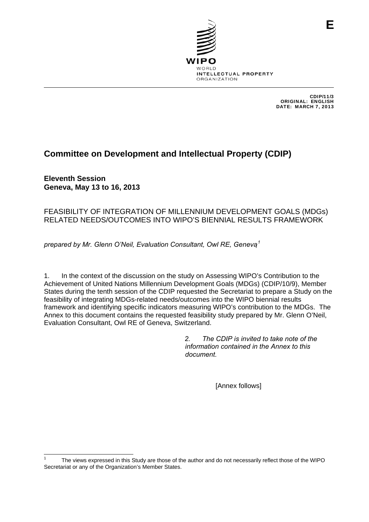

CDIP/11/3 ORIGINAL: ENGLISH DATE: MARCH 7, 2013

## **Committee on Development and Intellectual Property (CDIP)**

**Eleventh Session Geneva, May 13 to 16, 2013** 

## FEASIBILITY OF INTEGRATION OF MILLENNIUM DEVELOPMENT GOALS (MDGs) RELATED NEEDS/OUTCOMES INTO WIPO'S BIENNIAL RESULTS FRAMEWORK

*prepared by Mr. Glenn O'Neil, Evaluation Consultant, Owl RE, Geneva [1](#page-0-0)*

1. In the context of the discussion on the study on Assessing WIPO's Contribution to the Achievement of United Nations Millennium Development Goals (MDGs) (CDIP/10/9), Member States during the tenth session of the CDIP requested the Secretariat to prepare a Study on the feasibility of integrating MDGs-related needs/outcomes into the WIPO biennial results framework and identifying specific indicators measuring WIPO's contribution to the MDGs. The Annex to this document contains the requested feasibility study prepared by Mr. Glenn O'Neil, Evaluation Consultant, Owl RE of Geneva, Switzerland.

> *2. The CDIP is invited to take note of the information contained in the Annex to this document.*

> > [Annex follows]

<span id="page-0-0"></span> 1 The views expressed in this Study are those of the author and do not necessarily reflect those of the WIPO Secretariat or any of the Organization's Member States.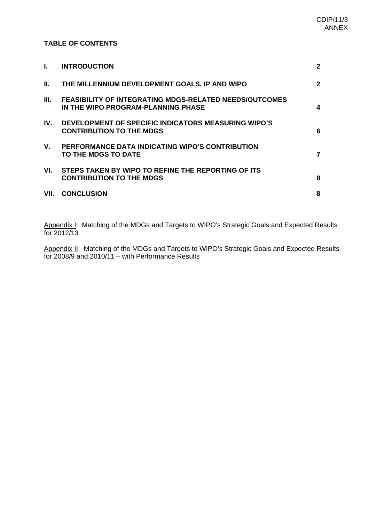### **TABLE OF CONTENTS**

| L.   | <b>INTRODUCTION</b>                                                                                 | $\mathbf{2}$ |
|------|-----------------------------------------------------------------------------------------------------|--------------|
| Ш.   | THE MILLENNIUM DEVELOPMENT GOALS, IP AND WIPO                                                       | $\mathbf{2}$ |
| III. | <b>FEASIBILITY OF INTEGRATING MDGS-RELATED NEEDS/OUTCOMES</b><br>IN THE WIPO PROGRAM-PLANNING PHASE | 4            |
| IV.  | DEVELOPMENT OF SPECIFIC INDICATORS MEASURING WIPO'S<br><b>CONTRIBUTION TO THE MDGS</b>              | 6            |
| V.   | PERFORMANCE DATA INDICATING WIPO'S CONTRIBUTION<br>TO THE MDGS TO DATE                              |              |
| VI.  | STEPS TAKEN BY WIPO TO REFINE THE REPORTING OF ITS<br><b>CONTRIBUTION TO THE MDGS</b>               | 8            |
| VII. | <b>CONCLUSION</b>                                                                                   | 8            |
|      |                                                                                                     |              |

Appendix I: Matching of the MDGs and Targets to WIPO's Strategic Goals and Expected Results for 2012/13

Appendix II: Matching of the MDGs and Targets to WIPO's Strategic Goals and Expected Results for 2008/9 and 2010/11 – with Performance Results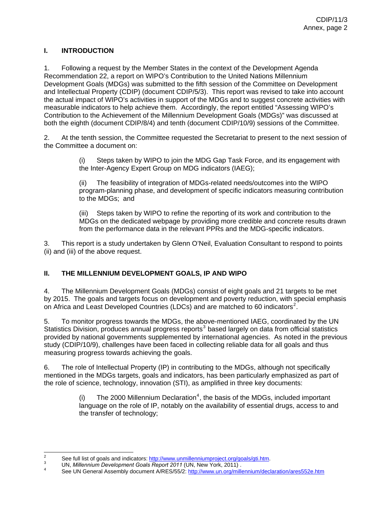## **I. INTRODUCTION**

1. Following a request by the Member States in the context of the Development Agenda Recommendation 22, a report on WIPO's Contribution to the United Nations Millennium Development Goals (MDGs) was submitted to the fifth session of the Committee on Development and Intellectual Property (CDIP) (document CDIP/5/3). This report was revised to take into account the actual impact of WIPO's activities in support of the MDGs and to suggest concrete activities with measurable indicators to help achieve them. Accordingly, the report entitled "Assessing WIPO's Contribution to the Achievement of the Millennium Development Goals (MDGs)" was discussed at both the eighth (document CDIP/8/4) and tenth (document CDIP/10/9) sessions of the Committee.

2. At the tenth session, the Committee requested the Secretariat to present to the next session of the Committee a document on:

> (i) Steps taken by WIPO to join the MDG Gap Task Force, and its engagement with the Inter-Agency Expert Group on MDG indicators (IAEG);

(ii) The feasibility of integration of MDGs-related needs/outcomes into the WIPO program-planning phase, and development of specific indicators measuring contribution to the MDGs; and

(iii) Steps taken by WIPO to refine the reporting of its work and contribution to the MDGs on the dedicated webpage by providing more credible and concrete results drawn from the performance data in the relevant PPRs and the MDG-specific indicators.

3. This report is a study undertaken by Glenn O'Neil, Evaluation Consultant to respond to points (ii) and (iii) of the above request.

## **II. THE MILLENNIUM DEVELOPMENT GOALS, IP AND WIPO**

4. The Millennium Development Goals (MDGs) consist of eight goals and 21 targets to be met by 2015. The goals and targets focus on development and poverty reduction, with special emphasis on Africa and Least Developed Countries (LDCs) and are matched to 60 indicators<sup>[2](#page-2-0)</sup>.

5. To monitor progress towards the MDGs, the above-mentioned IAEG, coordinated by the UN Statistics Division, produces annual progress reports<sup>[3](#page-2-1)</sup> based largely on data from official statistics provided by national governments supplemented by international agencies. As noted in the previous study (CDIP/10/9), challenges have been faced in collecting reliable data for all goals and thus measuring progress towards achieving the goals.

6. The role of Intellectual Property (IP) in contributing to the MDGs, although not specifically mentioned in the MDGs targets, goals and indicators, has been particularly emphasized as part of the role of science, technology, innovation (STI), as amplified in three key documents:

> (i) The 2000 Millennium Declaration<sup>[4](#page-2-2)</sup>, the basis of the MDGs, included important language on the role of IP, notably on the availability of essential drugs, access to and the transfer of technology;

 $\frac{1}{2}$  $\frac{2}{3}$  See full list of goals and indicators: [http://www.unmillenniumproject.org/goals/gti.htm.](http://www.unmillenniumproject.org/goals/gti.htm)  $\frac{3}{3}$ 

<sup>&</sup>lt;sup>3</sup> UN, Millennium Development Goals Report 2011 (UN, New York, 2011).

<span id="page-2-2"></span><span id="page-2-1"></span><span id="page-2-0"></span>See UN General Assembly document A/RES/55/2:<http://www.un.org/millennium/declaration/ares552e.htm>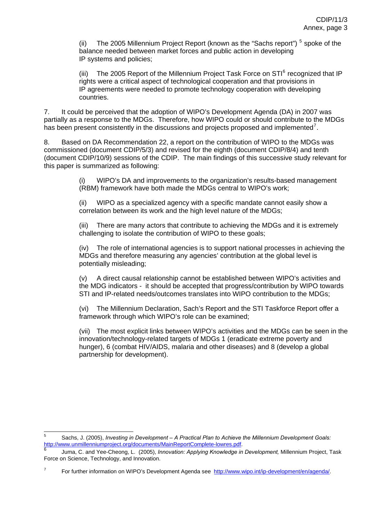(ii) The 200[5](#page-3-0) Millennium Project Report (known as the "Sachs report")  $5$  spoke of the balance needed between market forces and public action in developing IP systems and policies;

(iii) The 2005 Report of the Millennium Project Task Force on  $STI<sup>6</sup>$  $STI<sup>6</sup>$  $STI<sup>6</sup>$  recognized that IP rights were a critical aspect of technological cooperation and that provisions in IP agreements were needed to promote technology cooperation with developing countries.

7. It could be perceived that the adoption of WIPO's Development Agenda (DA) in 2007 was partially as a response to the MDGs. Therefore, how WIPO could or should contribute to the MDGs has been present consistently in the discussions and projects proposed and implemented<sup>[7](#page-3-2)</sup>.

8. Based on DA Recommendation 22, a report on the contribution of WIPO to the MDGs was commissioned (document CDIP/5/3) and revised for the eighth (document CDIP/8/4) and tenth (document CDIP/10/9) sessions of the CDIP. The main findings of this successive study relevant for this paper is summarized as following:

> (i) WIPO's DA and improvements to the organization's results-based management (RBM) framework have both made the MDGs central to WIPO's work;

(ii) WIPO as a specialized agency with a specific mandate cannot easily show a correlation between its work and the high level nature of the MDGs;

(iii) There are many actors that contribute to achieving the MDGs and it is extremely challenging to isolate the contribution of WIPO to these goals;

(iv) The role of international agencies is to support national processes in achieving the MDGs and therefore measuring any agencies' contribution at the global level is potentially misleading;

(v) A direct causal relationship cannot be established between WIPO's activities and the MDG indicators - it should be accepted that progress/contribution by WIPO towards STI and IP-related needs/outcomes translates into WIPO contribution to the MDGs;

(vi) The Millennium Declaration, Sach's Report and the STI Taskforce Report offer a framework through which WIPO's role can be examined;

(vii) The most explicit links between WIPO's activities and the MDGs can be seen in the innovation/technology-related targets of MDGs 1 (eradicate extreme poverty and hunger), 6 (combat HIV/AIDS, malaria and other diseases) and 8 (develop a global partnership for development).

 5 Sachs, J. (2005), *Investing in Development – A Practical Plan to Achieve the Millennium Development Goals:* [http://www.unmillenniumproject.org/documents/MainReportComplete-lowres.pdf.](http://www.unmillenniumproject.org/documents/MainReportComplete-lowres.pdf) [6](http://www.unmillenniumproject.org/documents/MainReportComplete-lowres.pdf)

Juma, C. and Yee-Cheong, L. (2005), *Innovation: Applying Knowledge in Development,* Millennium Project, Task Force on Science, Technology, and Innovation.

<span id="page-3-2"></span><span id="page-3-1"></span><span id="page-3-0"></span> 7 For further information on WIPO's Development Agenda see <http://www.wipo.int/ip-development/en/agenda/>.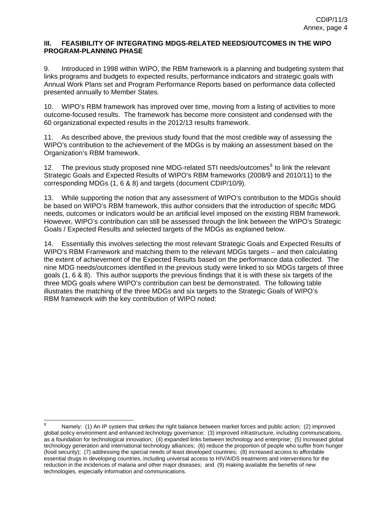#### <span id="page-4-0"></span>**III. FEASIBILITY OF INTEGRATING MDGS-RELATED NEEDS/OUTCOMES IN THE WIPO PROGRAM-PLANNING PHASE**

9. Introduced in 1998 within WIPO, the RBM framework is a planning and budgeting system that links programs and budgets to expected results, performance indicators and strategic goals with Annual Work Plans set and Program Performance Reports based on performance data collected presented annually to Member States.

10. WIPO's RBM framework has improved over time, moving from a listing of activities to more outcome-focused results. The framework has become more consistent and condensed with the 60 organizational expected results in the 2012/13 results framework.

11. As described above, the previous study found that the most credible way of assessing the WIPO's contribution to the achievement of the MDGs is by making an assessment based on the Organization's RBM framework.

12. The previous study proposed nine MDG-related STI needs/outcomes<sup>[8](#page-4-0)</sup> to link the relevant Strategic Goals and Expected Results of WIPO's RBM frameworks (2008/9 and 2010/11) to the corresponding MDGs (1, 6 & 8) and targets (document CDIP/10/9).

13. While supporting the notion that any assessment of WIPO's contribution to the MDGs should be based on WIPO's RBM framework, this author considers that the introduction of specific MDG needs, outcomes or indicators would be an artificial level imposed on the existing RBM framework. However, WIPO's contribution can still be assessed through the link between the WIPO's Strategic Goals / Expected Results and selected targets of the MDGs as explained below.

14. Essentially this involves selecting the most relevant Strategic Goals and Expected Results of WIPO's RBM Framework and matching them to the relevant MDGs targets – and then calculating the extent of achievement of the Expected Results based on the performance data collected. The nine MDG needs/outcomes identified in the previous study were linked to six MDGs targets of three goals (1, 6 & 8). This author supports the previous findings that it is with these six targets of the three MDG goals where WIPO's contribution can best be demonstrated. The following table illustrates the matching of the three MDGs and six targets to the Strategic Goals of WIPO's RBM framework with the key contribution of WIPO noted:

 $\overline{\phantom{a}}$ 

<sup>8</sup> Namely: (1) An IP system that strikes the right balance between market forces and public action; (2) improved global policy environment and enhanced technology governance; (3) improved infrastructure, including communications, as a foundation for technological innovation; (4) expanded links between technology and enterprise; (5) increased global technology generation and international technology alliances; (6) reduce the proportion of people who suffer from hunger (food security); (7) addressing the special needs of least developed countries; (8) increased access to affordable essential drugs in developing countries, including universal access to HIV/AIDS treatments and interventions for the reduction in the incidences of malaria and other major diseases; and (9) making available the benefits of new technologies, especially information and communications.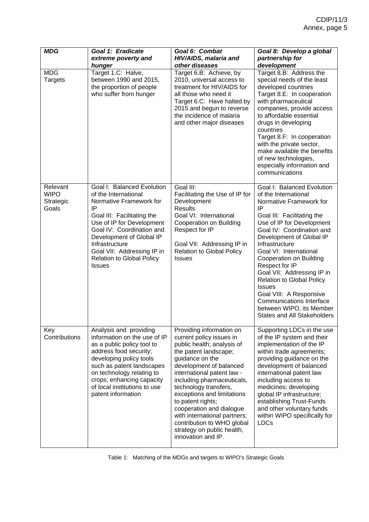| <b>MDG</b>                                    | Goal 1: Eradicate<br>extreme poverty and<br>hunger                                                                                                                                                                                                                                                           | Goal 6: Combat<br>HIV/AIDS, malaria and<br>other diseases                                                                                                                                                                                                                                                                                                                                                                                       | Goal 8: Develop a global<br>partnership for<br>development                                                                                                                                                                                                                                                                                                                                                                                                                                                          |
|-----------------------------------------------|--------------------------------------------------------------------------------------------------------------------------------------------------------------------------------------------------------------------------------------------------------------------------------------------------------------|-------------------------------------------------------------------------------------------------------------------------------------------------------------------------------------------------------------------------------------------------------------------------------------------------------------------------------------------------------------------------------------------------------------------------------------------------|---------------------------------------------------------------------------------------------------------------------------------------------------------------------------------------------------------------------------------------------------------------------------------------------------------------------------------------------------------------------------------------------------------------------------------------------------------------------------------------------------------------------|
| <b>MDG</b><br><b>Targets</b>                  | Target 1.C: Halve,<br>between 1990 and 2015,<br>the proportion of people<br>who suffer from hunger                                                                                                                                                                                                           | Target 6.B: Achieve, by<br>2010, universal access to<br>treatment for HIV/AIDS for<br>all those who need it<br>Target 6.C: Have halted by<br>2015 and begun to reverse<br>the incidence of malaria<br>and other major diseases                                                                                                                                                                                                                  | Target 8.B: Address the<br>special needs of the least<br>developed countries<br>Target 8.E: In cooperation<br>with pharmaceutical<br>companies, provide access<br>to affordable essential<br>drugs in developing<br>countries<br>Target 8.F: In cooperation<br>with the private sector,<br>make available the benefits<br>of new technologies,<br>especially information and<br>communications                                                                                                                      |
| Relevant<br><b>WIPO</b><br>Strategic<br>Goals | Goal I: Balanced Evolution<br>of the International<br>Normative Framework for<br>IP<br>Goal III: Facilitating the<br>Use of IP for Development<br>Goal IV: Coordination and<br>Development of Global IP<br>Infrastructure<br>Goal VII: Addressing IP in<br><b>Relation to Global Policy</b><br><b>Issues</b> | Goal III:<br>Facilitating the Use of IP for<br>Development<br><b>Results</b><br>Goal VI: International<br>Cooperation on Building<br>Respect for IP<br>Goal VII: Addressing IP in<br><b>Relation to Global Policy</b><br><b>Issues</b>                                                                                                                                                                                                          | Goal I: Balanced Evolution<br>of the International<br>Normative Framework for<br>IP<br>Goal III: Facilitating the<br>Use of IP for Development<br>Goal IV: Coordination and<br>Development of Global IP<br>Infrastructure<br>Goal VI: International<br>Cooperation on Building<br>Respect for IP<br>Goal VII: Addressing IP in<br><b>Relation to Global Policy</b><br><b>Issues</b><br>Goal VIII: A Responsive<br><b>Communications Interface</b><br>between WIPO, its Member<br><b>States and All Stakeholders</b> |
| Key<br>Contributions                          | Analysis and providing<br>information on the use of IP<br>as a public policy tool to<br>address food security;<br>developing policy tools<br>such as patent landscapes<br>on technology relating to<br>crops; enhancing capacity<br>of local institutions to use<br>patent information                       | Providing information on<br>current policy issues in<br>public health; analysis of<br>the patent landscape;<br>guidance on the<br>development of balanced<br>international patent law -<br>including pharmaceuticals,<br>technology transfers,<br>exceptions and limitations<br>to patent rights;<br>cooperation and dialogue<br>with international partners;<br>contribution to WHO global<br>strategy on public health,<br>innovation and IP. | Supporting LDCs in the use<br>of the IP system and their<br>implementation of the IP<br>within trade agreements;<br>providing guidance on the<br>development of balanced<br>international patent law<br>including access to<br>medicines; developing<br>global IP infrastructure;<br>establishing Trust-Funds<br>and other voluntary funds<br>within WIPO specifically for<br>LDCs                                                                                                                                  |

Table 1: Matching of the MDGs and targets to WIPO's Strategic Goals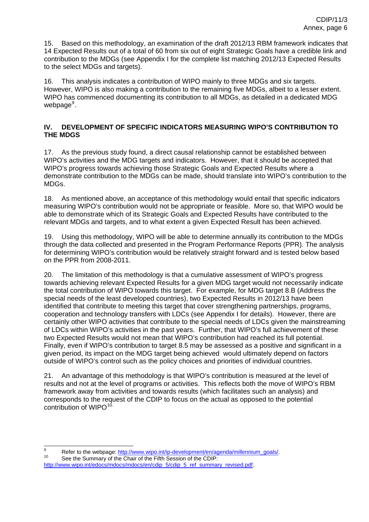<span id="page-6-0"></span>15. Based on this methodology, an examination of the draft 2012/13 RBM framework indicates that 14 Expected Results out of a total of 60 from six out of eight Strategic Goals have a credible link and contribution to the MDGs (see Appendix I for the complete list matching 2012/13 Expected Results to the select MDGs and targets).

16. This analysis indicates a contribution of WIPO mainly to three MDGs and six targets. However, WIPO is also making a contribution to the remaining five MDGs, albeit to a lesser extent. WIPO has commenced documenting its contribution to all MDGs, as detailed in a dedicated MDG webpage<sup>[9](#page-6-0)</sup>.

### **IV. DEVELOPMENT OF SPECIFIC INDICATORS MEASURING WIPO'S CONTRIBUTION TO THE MDGS**

17. As the previous study found, a direct causal relationship cannot be established between WIPO's activities and the MDG targets and indicators. However, that it should be accepted that WIPO's progress towards achieving those Strategic Goals and Expected Results where a demonstrate contribution to the MDGs can be made, should translate into WIPO's contribution to the MDGs.

18. As mentioned above, an acceptance of this methodology would entail that specific indicators measuring WIPO's contribution would not be appropriate or feasible. More so, that WIPO would be able to demonstrate which of its Strategic Goals and Expected Results have contributed to the relevant MDGs and targets, and to what extent a given Expected Result has been achieved.

19. Using this methodology, WIPO will be able to determine annually its contribution to the MDGs through the data collected and presented in the Program Performance Reports (PPR). The analysis for determining WIPO's contribution would be relatively straight forward and is tested below based on the PPR from 2008-2011.

20. The limitation of this methodology is that a cumulative assessment of WIPO's progress towards achieving relevant Expected Results for a given MDG target would not necessarily indicate the total contribution of WIPO towards this target. For example, for MDG target 8.B (Address the special needs of the least developed countries), two Expected Results in 2012/13 have been identified that contribute to meeting this target that cover strengthening partnerships, programs, cooperation and technology transfers with LDCs (see Appendix I for details). However, there are certainly other WIPO activities that contribute to the special needs of LDCs given the mainstreaming of LDCs within WIPO's activities in the past years. Further, that WIPO's full achievement of these two Expected Results would not mean that WIPO's contribution had reached its full potential. Finally, even if WIPO's contribution to target 8.5 may be assessed as a positive and significant in a given period, its impact on the MDG target being achieved would ultimately depend on factors outside of WIPO's control such as the policy choices and priorities of individual countries.

21. An advantage of this methodology is that WIPO's contribution is measured at the level of results and not at the level of programs or activities. This reflects both the move of WIPO's RBM framework away from activities and towards results (which facilitates such an analysis) and corresponds to the request of the CDIP to focus on the actual as opposed to the potential contribution of WIPO $^{10}$  $^{10}$  $^{10}$ .

<sup>–&</sup>lt;br>9 <sup>9</sup> Refer to the webpage:  $\frac{http://www.wipo.int/ip-development/en/agent/millionium_goals/10}{\text{See the Summary of the Chair of the Fifth Session of the CDIP:}$ 

[http://www.wipo.int/edocs/mdocs/mdocs/en/cdip\\_5/cdip\\_5\\_ref\\_summary\\_revised.pdf](http://www.wipo.int/edocs/mdocs/mdocs/en/cdip_5/cdip_5_ref_summary_revised.pdf).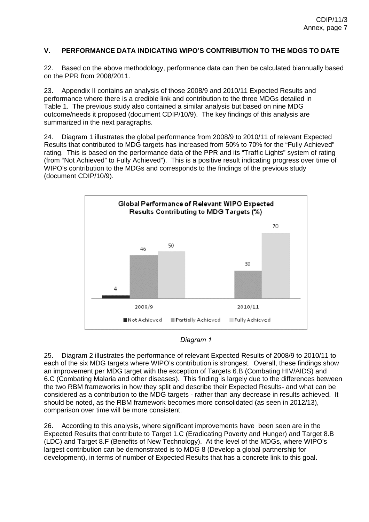#### **V. PERFORMANCE DATA INDICATING WIPO'S CONTRIBUTION TO THE MDGS TO DATE**

22. Based on the above methodology, performance data can then be calculated biannually based on the PPR from 2008/2011.

23. Appendix II contains an analysis of those 2008/9 and 2010/11 Expected Results and performance where there is a credible link and contribution to the three MDGs detailed in Table 1. The previous study also contained a similar analysis but based on nine MDG outcome/needs it proposed (document CDIP/10/9). The key findings of this analysis are summarized in the next paragraphs.

24. Diagram 1 illustrates the global performance from 2008/9 to 2010/11 of relevant Expected Results that contributed to MDG targets has increased from 50% to 70% for the "Fully Achieved" rating. This is based on the performance data of the PPR and its "Traffic Lights" system of rating (from "Not Achieved" to Fully Achieved"). This is a positive result indicating progress over time of WIPO's contribution to the MDGs and corresponds to the findings of the previous study (document CDIP/10/9).





25. Diagram 2 illustrates the performance of relevant Expected Results of 2008/9 to 2010/11 to each of the six MDG targets where WIPO's contribution is strongest. Overall, these findings show an improvement per MDG target with the exception of Targets 6.B (Combating HIV/AIDS) and 6.C (Combating Malaria and other diseases). This finding is largely due to the differences between the two RBM frameworks in how they split and describe their Expected Results- and what can be considered as a contribution to the MDG targets - rather than any decrease in results achieved. It should be noted, as the RBM framework becomes more consolidated (as seen in 2012/13), comparison over time will be more consistent.

26. According to this analysis, where significant improvements have been seen are in the Expected Results that contribute to Target 1.C (Eradicating Poverty and Hunger) and Target 8.B (LDC) and Target 8.F (Benefits of New Technology). At the level of the MDGs, where WIPO's largest contribution can be demonstrated is to MDG 8 (Develop a global partnership for development), in terms of number of Expected Results that has a concrete link to this goal.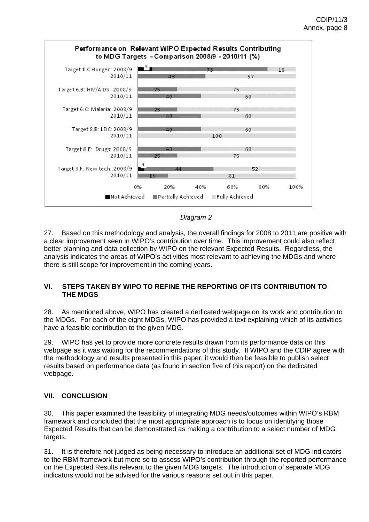

#### *Diagram 2*

27. Based on this methodology and analysis, the overall findings for 2008 to 2011 are positive with a clear improvement seen in WIPO's contribution over time. This improvement could also reflect better planning and data collection by WIPO on the relevant Expected Results. Regardless, the analysis indicates the areas of WIPO's activities most relevant to achieving the MDGs and where there is still scope for improvement in the coming years.

#### **VI. STEPS TAKEN BY WIPO TO REFINE THE REPORTING OF ITS CONTRIBUTION TO THE MDGS**

28. As mentioned above, WIPO has created a dedicated webpage on its work and contribution to the MDGs. For each of the eight MDGs, WIPO has provided a text explaining which of its activities have a feasible contribution to the given MDG.

29. WIPO has yet to provide more concrete results drawn from its performance data on this webpage as it was waiting for the recommendations of this study. If WIPO and the CDIP agree with the methodology and results presented in this paper, it would then be feasible to publish select results based on performance data (as found in section five of this report) on the dedicated webpage.

#### **VII. CONCLUSION**

30. This paper examined the feasibility of integrating MDG needs/outcomes within WIPO's RBM framework and concluded that the most appropriate approach is to focus on identifying those Expected Results that can be demonstrated as making a contribution to a select number of MDG targets.

31. It is therefore not judged as being necessary to introduce an additional set of MDG indicators to the RBM framework but more so to assess WIPO's contribution through the reported performance on the Expected Results relevant to the given MDG targets. The introduction of separate MDG indicators would not be advised for the various reasons set out in this paper.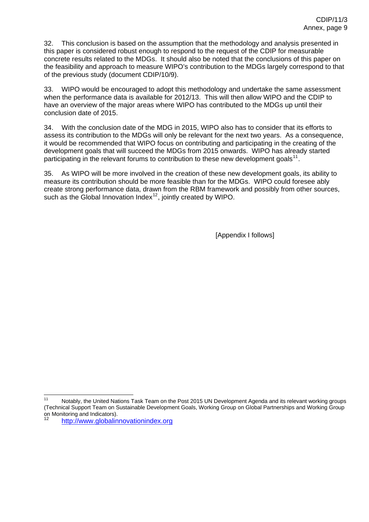<span id="page-9-0"></span>32. This conclusion is based on the assumption that the methodology and analysis presented in this paper is considered robust enough to respond to the request of the CDIP for measurable concrete results related to the MDGs. It should also be noted that the conclusions of this paper on the feasibility and approach to measure WIPO's contribution to the MDGs largely correspond to that of the previous study (document CDIP/10/9).

33. WIPO would be encouraged to adopt this methodology and undertake the same assessment when the performance data is available for 2012/13. This will then allow WIPO and the CDIP to have an overview of the major areas where WIPO has contributed to the MDGs up until their conclusion date of 2015.

34. With the conclusion date of the MDG in 2015, WIPO also has to consider that its efforts to assess its contribution to the MDGs will only be relevant for the next two years. As a consequence, it would be recommended that WIPO focus on contributing and participating in the creating of the development goals that will succeed the MDGs from 2015 onwards. WIPO has already started participating in the relevant forums to contribution to these new development goals<sup>[11](#page-9-0)</sup>.

35. As WIPO will be more involved in the creation of these new development goals, its ability to measure its contribution should be more feasible than for the MDGs. WIPO could foresee ably create strong performance data, drawn from the RBM framework and possibly from other sources, such as the Global Innovation Index $12$ , jointly created by WIPO.

[Appendix I follows]

 Notably, the United Nations Task Team on the Post 2015 UN Development Agenda and its relevant working groups (Technical Support Team on Sustainable Development Goals, Working Group on Global Partnerships and Working Group on Monitoring and Indicators).

[http://www.globalinnovationindex.org](http://www.globalinnovationindex.org/)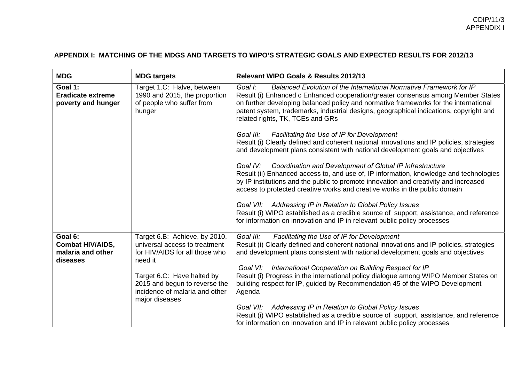## **APPENDIX I: MATCHING OF THE MDGS AND TARGETS TO WIPO'S STRATEGIC GOALS AND EXPECTED RESULTS FOR 2012/13**

| <b>MDG</b>                                                | <b>MDG targets</b>                                                                                 | <b>Relevant WIPO Goals &amp; Results 2012/13</b>                                                                                                                                                                                                                                                                                                                                        |
|-----------------------------------------------------------|----------------------------------------------------------------------------------------------------|-----------------------------------------------------------------------------------------------------------------------------------------------------------------------------------------------------------------------------------------------------------------------------------------------------------------------------------------------------------------------------------------|
| Goal 1:<br><b>Eradicate extreme</b><br>poverty and hunger | Target 1.C: Halve, between<br>1990 and 2015, the proportion<br>of people who suffer from<br>hunger | Goal I:<br>Balanced Evolution of the International Normative Framework for IP<br>Result (i) Enhanced c Enhanced cooperation/greater consensus among Member States<br>on further developing balanced policy and normative frameworks for the international<br>patent system, trademarks, industrial designs, geographical indications, copyright and<br>related rights, TK, TCEs and GRs |
|                                                           |                                                                                                    | Goal III:<br><b>Facilitating the Use of IP for Development</b><br>Result (i) Clearly defined and coherent national innovations and IP policies, strategies<br>and development plans consistent with national development goals and objectives                                                                                                                                           |
|                                                           |                                                                                                    | Coordination and Development of Global IP Infrastructure<br>Goal IV:<br>Result (ii) Enhanced access to, and use of, IP information, knowledge and technologies<br>by IP institutions and the public to promote innovation and creativity and increased<br>access to protected creative works and creative works in the public domain                                                    |
|                                                           |                                                                                                    | Goal VII: Addressing IP in Relation to Global Policy Issues<br>Result (i) WIPO established as a credible source of support, assistance, and reference<br>for information on innovation and IP in relevant public policy processes                                                                                                                                                       |
| Goal 6:                                                   | Target 6.B: Achieve, by 2010,                                                                      | Goal III:<br>Facilitating the Use of IP for Development                                                                                                                                                                                                                                                                                                                                 |
| <b>Combat HIV/AIDS,</b>                                   | universal access to treatment                                                                      | Result (i) Clearly defined and coherent national innovations and IP policies, strategies                                                                                                                                                                                                                                                                                                |
| malaria and other                                         | for HIV/AIDS for all those who<br>need it                                                          | and development plans consistent with national development goals and objectives                                                                                                                                                                                                                                                                                                         |
| diseases                                                  |                                                                                                    | Goal VI: International Cooperation on Building Respect for IP                                                                                                                                                                                                                                                                                                                           |
|                                                           | Target 6.C: Have halted by                                                                         | Result (i) Progress in the international policy dialogue among WIPO Member States on                                                                                                                                                                                                                                                                                                    |
|                                                           | 2015 and begun to reverse the<br>incidence of malaria and other<br>major diseases                  | building respect for IP, guided by Recommendation 45 of the WIPO Development<br>Agenda                                                                                                                                                                                                                                                                                                  |
|                                                           |                                                                                                    | Goal VII: Addressing IP in Relation to Global Policy Issues                                                                                                                                                                                                                                                                                                                             |
|                                                           |                                                                                                    | Result (i) WIPO established as a credible source of support, assistance, and reference                                                                                                                                                                                                                                                                                                  |
|                                                           |                                                                                                    | for information on innovation and IP in relevant public policy processes                                                                                                                                                                                                                                                                                                                |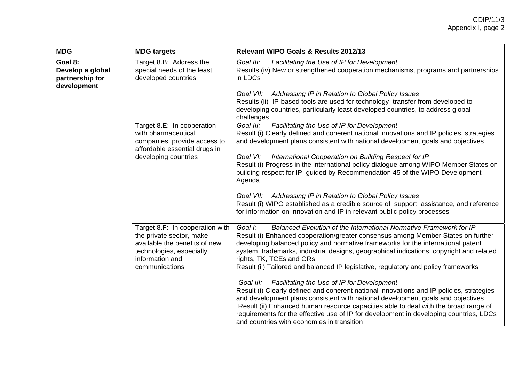## CDIP/11/3 Appendix I, page 2

| <b>MDG</b>                                                    | <b>MDG targets</b>                                                                                                                         | Relevant WIPO Goals & Results 2012/13                                                                                                                                                                                                                                                                                                                                                                                                                                                            |
|---------------------------------------------------------------|--------------------------------------------------------------------------------------------------------------------------------------------|--------------------------------------------------------------------------------------------------------------------------------------------------------------------------------------------------------------------------------------------------------------------------------------------------------------------------------------------------------------------------------------------------------------------------------------------------------------------------------------------------|
| Goal 8:<br>Develop a global<br>partnership for<br>development | Target 8.B: Address the<br>special needs of the least<br>developed countries                                                               | Goal III:<br>Facilitating the Use of IP for Development<br>Results (iv) New or strengthened cooperation mechanisms, programs and partnerships<br>in LDCs<br>Goal VII: Addressing IP in Relation to Global Policy Issues<br>Results (ii) IP-based tools are used for technology transfer from developed to<br>developing countries, particularly least developed countries, to address global                                                                                                     |
|                                                               | Target 8.E: In cooperation<br>with pharmaceutical<br>companies, provide access to<br>affordable essential drugs in<br>developing countries | challenges<br>Goal III:<br>Facilitating the Use of IP for Development<br>Result (i) Clearly defined and coherent national innovations and IP policies, strategies<br>and development plans consistent with national development goals and objectives<br>International Cooperation on Building Respect for IP<br>Goal VI:<br>Result (i) Progress in the international policy dialogue among WIPO Member States on<br>building respect for IP, guided by Recommendation 45 of the WIPO Development |
|                                                               | Target 8.F: In cooperation with                                                                                                            | Agenda<br>Goal VII: Addressing IP in Relation to Global Policy Issues<br>Result (i) WIPO established as a credible source of support, assistance, and reference<br>for information on innovation and IP in relevant public policy processes<br>Balanced Evolution of the International Normative Framework for IP<br>Goal I:                                                                                                                                                                     |
|                                                               | the private sector, make<br>available the benefits of new<br>technologies, especially<br>information and<br>communications                 | Result (i) Enhanced cooperation/greater consensus among Member States on further<br>developing balanced policy and normative frameworks for the international patent<br>system, trademarks, industrial designs, geographical indications, copyright and related<br>rights, TK, TCEs and GRs<br>Result (ii) Tailored and balanced IP legislative, regulatory and policy frameworks                                                                                                                |
|                                                               |                                                                                                                                            | Goal III: Facilitating the Use of IP for Development<br>Result (i) Clearly defined and coherent national innovations and IP policies, strategies<br>and development plans consistent with national development goals and objectives<br>Result (ii) Enhanced human resource capacities able to deal with the broad range of<br>requirements for the effective use of IP for development in developing countries, LDCs<br>and countries with economies in transition                               |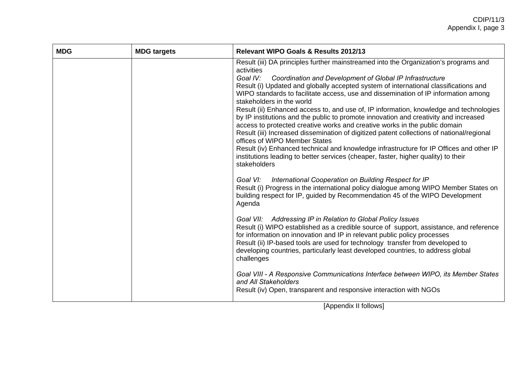# CDIP/11/3 Appendix I, page 3

| <b>MDG</b> | <b>MDG targets</b> | Relevant WIPO Goals & Results 2012/13                                                                                                                                                                                                                                                                                                                                                                                                                                                                                                                                                                                                                                                                                                                                                                                                                                                                                                                                                                                                                                                                                                            |  |
|------------|--------------------|--------------------------------------------------------------------------------------------------------------------------------------------------------------------------------------------------------------------------------------------------------------------------------------------------------------------------------------------------------------------------------------------------------------------------------------------------------------------------------------------------------------------------------------------------------------------------------------------------------------------------------------------------------------------------------------------------------------------------------------------------------------------------------------------------------------------------------------------------------------------------------------------------------------------------------------------------------------------------------------------------------------------------------------------------------------------------------------------------------------------------------------------------|--|
|            |                    | Result (iii) DA principles further mainstreamed into the Organization's programs and<br>activities<br>Coordination and Development of Global IP Infrastructure<br>Goal IV:<br>Result (i) Updated and globally accepted system of international classifications and<br>WIPO standards to facilitate access, use and dissemination of IP information among<br>stakeholders in the world<br>Result (ii) Enhanced access to, and use of, IP information, knowledge and technologies<br>by IP institutions and the public to promote innovation and creativity and increased<br>access to protected creative works and creative works in the public domain<br>Result (iii) Increased dissemination of digitized patent collections of national/regional<br>offices of WIPO Member States<br>Result (iv) Enhanced technical and knowledge infrastructure for IP Offices and other IP<br>institutions leading to better services (cheaper, faster, higher quality) to their<br>stakeholders<br>International Cooperation on Building Respect for IP<br>Goal VI:<br>Result (i) Progress in the international policy dialogue among WIPO Member States on |  |
|            |                    | building respect for IP, guided by Recommendation 45 of the WIPO Development<br>Agenda<br>Goal VII: Addressing IP in Relation to Global Policy Issues<br>Result (i) WIPO established as a credible source of support, assistance, and reference<br>for information on innovation and IP in relevant public policy processes<br>Result (ii) IP-based tools are used for technology transfer from developed to<br>developing countries, particularly least developed countries, to address global<br>challenges<br>Goal VIII - A Responsive Communications Interface between WIPO, its Member States<br>and All Stakeholders<br>Result (iv) Open, transparent and responsive interaction with NGOs                                                                                                                                                                                                                                                                                                                                                                                                                                                 |  |

[Appendix II follows]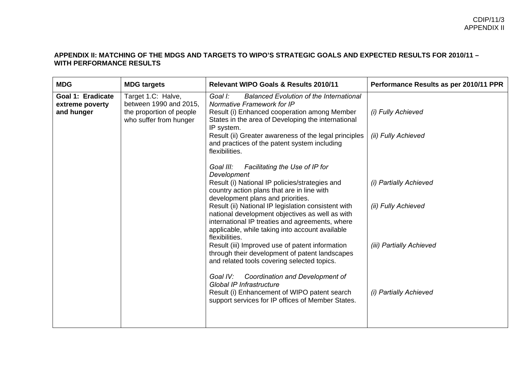#### **APPENDIX II: MATCHING OF THE MDGS AND TARGETS TO WIPO'S STRATEGIC GOALS AND EXPECTED RESULTS FOR 2010/11 – WITH PERFORMANCE RESULTS**

| <b>MDG</b>                                         | <b>MDG targets</b>                                                                                 | <b>Relevant WIPO Goals &amp; Results 2010/11</b>                                                                                                                                                                                                                                                                                                                                                                                                                                                                                                                                                                                                                                                                                                                             | Performance Results as per 2010/11 PPR                                                              |
|----------------------------------------------------|----------------------------------------------------------------------------------------------------|------------------------------------------------------------------------------------------------------------------------------------------------------------------------------------------------------------------------------------------------------------------------------------------------------------------------------------------------------------------------------------------------------------------------------------------------------------------------------------------------------------------------------------------------------------------------------------------------------------------------------------------------------------------------------------------------------------------------------------------------------------------------------|-----------------------------------------------------------------------------------------------------|
| Goal 1: Eradicate<br>extreme poverty<br>and hunger | Target 1.C: Halve,<br>between 1990 and 2015,<br>the proportion of people<br>who suffer from hunger | Goal I:<br><b>Balanced Evolution of the International</b><br>Normative Framework for IP<br>Result (i) Enhanced cooperation among Member<br>States in the area of Developing the international<br>IP system.<br>Result (ii) Greater awareness of the legal principles<br>and practices of the patent system including<br>flexibilities.                                                                                                                                                                                                                                                                                                                                                                                                                                       | (i) Fully Achieved<br>(ii) Fully Achieved                                                           |
|                                                    |                                                                                                    | Facilitating the Use of IP for<br>Goal III:<br>Development<br>Result (i) National IP policies/strategies and<br>country action plans that are in line with<br>development plans and priorities.<br>Result (ii) National IP legislation consistent with<br>national development objectives as well as with<br>international IP treaties and agreements, where<br>applicable, while taking into account available<br>flexibilities.<br>Result (iii) Improved use of patent information<br>through their development of patent landscapes<br>and related tools covering selected topics.<br>Goal IV:<br>Coordination and Development of<br><b>Global IP Infrastructure</b><br>Result (i) Enhancement of WIPO patent search<br>support services for IP offices of Member States. | (i) Partially Achieved<br>(ii) Fully Achieved<br>(iii) Partially Achieved<br>(i) Partially Achieved |
|                                                    |                                                                                                    |                                                                                                                                                                                                                                                                                                                                                                                                                                                                                                                                                                                                                                                                                                                                                                              |                                                                                                     |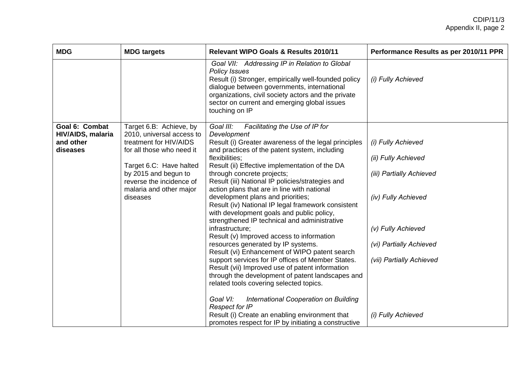| <b>MDG</b>                                        | <b>MDG targets</b>                                                                                     | <b>Relevant WIPO Goals &amp; Results 2010/11</b>                                                                                                                                                                                                                                                      | Performance Results as per 2010/11 PPR |
|---------------------------------------------------|--------------------------------------------------------------------------------------------------------|-------------------------------------------------------------------------------------------------------------------------------------------------------------------------------------------------------------------------------------------------------------------------------------------------------|----------------------------------------|
|                                                   |                                                                                                        | Goal VII: Addressing IP in Relation to Global<br><b>Policy Issues</b><br>Result (i) Stronger, empirically well-founded policy<br>dialogue between governments, international<br>organizations, civil society actors and the private<br>sector on current and emerging global issues<br>touching on IP | (i) Fully Achieved                     |
| Goal 6: Combat                                    | Target 6.B: Achieve, by                                                                                | Goal III:<br>Facilitating the Use of IP for                                                                                                                                                                                                                                                           |                                        |
| <b>HIV/AIDS, malaria</b><br>and other<br>diseases | 2010, universal access to<br>treatment for HIV/AIDS<br>for all those who need it                       | Development<br>Result (i) Greater awareness of the legal principles<br>and practices of the patent system, including                                                                                                                                                                                  | (i) Fully Achieved                     |
|                                                   |                                                                                                        | flexibilities;                                                                                                                                                                                                                                                                                        | (ii) Fully Achieved                    |
|                                                   | Target 6.C: Have halted<br>by 2015 and begun to<br>reverse the incidence of<br>malaria and other major | Result (ii) Effective implementation of the DA<br>through concrete projects;<br>Result (iii) National IP policies/strategies and<br>action plans that are in line with national                                                                                                                       | (iii) Partially Achieved               |
|                                                   | diseases                                                                                               | development plans and priorities;<br>Result (iv) National IP legal framework consistent<br>with development goals and public policy,<br>strengthened IP technical and administrative                                                                                                                  | (iv) Fully Achieved                    |
|                                                   |                                                                                                        | infrastructure;<br>Result (v) Improved access to information                                                                                                                                                                                                                                          | (v) Fully Achieved                     |
|                                                   |                                                                                                        | resources generated by IP systems.<br>Result (vi) Enhancement of WIPO patent search                                                                                                                                                                                                                   | (vi) Partially Achieved                |
|                                                   |                                                                                                        | support services for IP offices of Member States.<br>Result (vii) Improved use of patent information<br>through the development of patent landscapes and<br>related tools covering selected topics.                                                                                                   | (vii) Partially Achieved               |
|                                                   |                                                                                                        | Goal VI:<br>International Cooperation on Building<br><b>Respect for IP</b>                                                                                                                                                                                                                            |                                        |
|                                                   |                                                                                                        | Result (i) Create an enabling environment that<br>promotes respect for IP by initiating a constructive                                                                                                                                                                                                | (i) Fully Achieved                     |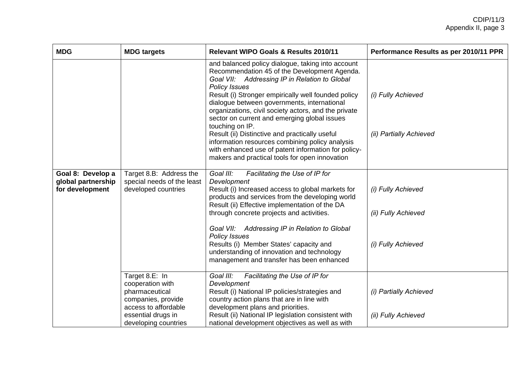| <b>MDG</b>                            | <b>MDG targets</b>                                                               | <b>Relevant WIPO Goals &amp; Results 2010/11</b>                                                                                                                                                                              | Performance Results as per 2010/11 PPR |
|---------------------------------------|----------------------------------------------------------------------------------|-------------------------------------------------------------------------------------------------------------------------------------------------------------------------------------------------------------------------------|----------------------------------------|
|                                       |                                                                                  | and balanced policy dialogue, taking into account<br>Recommendation 45 of the Development Agenda.<br>Goal VII: Addressing IP in Relation to Global<br><b>Policy Issues</b>                                                    |                                        |
|                                       |                                                                                  | Result (i) Stronger empirically well founded policy<br>dialogue between governments, international<br>organizations, civil society actors, and the private<br>sector on current and emerging global issues<br>touching on IP. | (i) Fully Achieved                     |
|                                       |                                                                                  | Result (ii) Distinctive and practically useful<br>information resources combining policy analysis<br>with enhanced use of patent information for policy-<br>makers and practical tools for open innovation                    | (ii) Partially Achieved                |
| Goal 8: Develop a                     | Target 8.B: Address the                                                          | Goal III:<br>Facilitating the Use of IP for                                                                                                                                                                                   |                                        |
| global partnership<br>for development | special needs of the least<br>developed countries                                | Development<br>Result (i) Increased access to global markets for<br>products and services from the developing world<br>Result (ii) Effective implementation of the DA                                                         | (i) Fully Achieved                     |
|                                       |                                                                                  | through concrete projects and activities.                                                                                                                                                                                     | (ii) Fully Achieved                    |
|                                       |                                                                                  | Goal VII: Addressing IP in Relation to Global<br><b>Policy Issues</b>                                                                                                                                                         |                                        |
|                                       |                                                                                  | Results (i) Member States' capacity and<br>understanding of innovation and technology<br>management and transfer has been enhanced                                                                                            | (i) Fully Achieved                     |
|                                       | Target 8.E: In                                                                   | Goal III:<br>Facilitating the Use of IP for                                                                                                                                                                                   |                                        |
|                                       | cooperation with<br>pharmaceutical<br>companies, provide<br>access to affordable | Development<br>Result (i) National IP policies/strategies and<br>country action plans that are in line with<br>development plans and priorities.                                                                              | (i) Partially Achieved                 |
|                                       | essential drugs in<br>developing countries                                       | Result (ii) National IP legislation consistent with<br>national development objectives as well as with                                                                                                                        | (ii) Fully Achieved                    |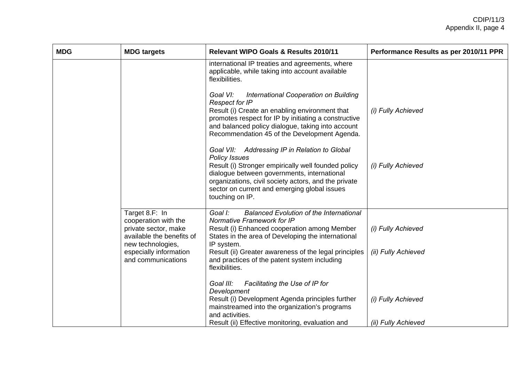| <b>MDG</b> | <b>MDG targets</b>                                                                                                                                               | <b>Relevant WIPO Goals &amp; Results 2010/11</b>                                                                                                                                                                                                                                                                                                                                                                                                                                                                                                                                                                                                                                                                            | Performance Results as per 2010/11 PPR    |
|------------|------------------------------------------------------------------------------------------------------------------------------------------------------------------|-----------------------------------------------------------------------------------------------------------------------------------------------------------------------------------------------------------------------------------------------------------------------------------------------------------------------------------------------------------------------------------------------------------------------------------------------------------------------------------------------------------------------------------------------------------------------------------------------------------------------------------------------------------------------------------------------------------------------------|-------------------------------------------|
|            |                                                                                                                                                                  | international IP treaties and agreements, where<br>applicable, while taking into account available<br>flexibilities.<br>International Cooperation on Building<br>Goal VI:<br><b>Respect for IP</b><br>Result (i) Create an enabling environment that<br>promotes respect for IP by initiating a constructive<br>and balanced policy dialogue, taking into account<br>Recommendation 45 of the Development Agenda.<br>Goal VII: Addressing IP in Relation to Global<br><b>Policy Issues</b><br>Result (i) Stronger empirically well founded policy<br>dialogue between governments, international<br>organizations, civil society actors, and the private<br>sector on current and emerging global issues<br>touching on IP. | (i) Fully Achieved<br>(i) Fully Achieved  |
|            | Target 8.F: In<br>cooperation with the<br>private sector, make<br>available the benefits of<br>new technologies,<br>especially information<br>and communications | Goal I:<br><b>Balanced Evolution of the International</b><br>Normative Framework for IP<br>Result (i) Enhanced cooperation among Member<br>States in the area of Developing the international<br>IP system.<br>Result (ii) Greater awareness of the legal principles<br>and practices of the patent system including<br>flexibilities.                                                                                                                                                                                                                                                                                                                                                                                      | (i) Fully Achieved<br>(ii) Fully Achieved |
|            |                                                                                                                                                                  | Facilitating the Use of IP for<br>Goal III:<br>Development<br>Result (i) Development Agenda principles further<br>mainstreamed into the organization's programs<br>and activities.<br>Result (ii) Effective monitoring, evaluation and                                                                                                                                                                                                                                                                                                                                                                                                                                                                                      | (i) Fully Achieved<br>(ii) Fully Achieved |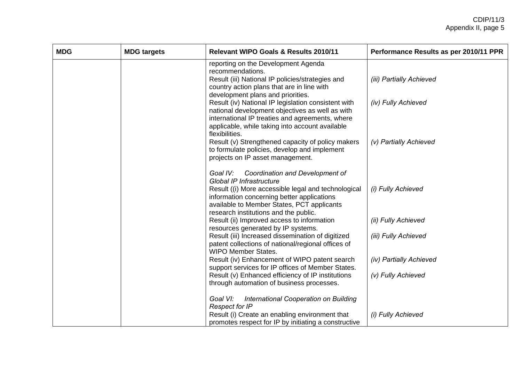| <b>MDG</b> | <b>MDG targets</b> | <b>Relevant WIPO Goals &amp; Results 2010/11</b>                                                                                                                                                                                                  | Performance Results as per 2010/11 PPR |
|------------|--------------------|---------------------------------------------------------------------------------------------------------------------------------------------------------------------------------------------------------------------------------------------------|----------------------------------------|
|            |                    | reporting on the Development Agenda<br>recommendations.                                                                                                                                                                                           |                                        |
|            |                    | Result (iii) National IP policies/strategies and<br>country action plans that are in line with                                                                                                                                                    | (iii) Partially Achieved               |
|            |                    | development plans and priorities.<br>Result (iv) National IP legislation consistent with<br>national development objectives as well as with<br>international IP treaties and agreements, where<br>applicable, while taking into account available | (iv) Fully Achieved                    |
|            |                    | flexibilities.<br>Result (v) Strengthened capacity of policy makers<br>to formulate policies, develop and implement<br>projects on IP asset management.                                                                                           | (v) Partially Achieved                 |
|            |                    | Goal IV:<br>Coordination and Development of<br>Global IP Infrastructure<br>Result ((i) More accessible legal and technological<br>information concerning better applications<br>available to Member States, PCT applicants                        | (i) Fully Achieved                     |
|            |                    | research institutions and the public.<br>Result (ii) Improved access to information                                                                                                                                                               | (ii) Fully Achieved                    |
|            |                    | resources generated by IP systems.<br>Result (iii) Increased dissemination of digitized<br>patent collections of national/regional offices of<br><b>WIPO Member States.</b>                                                                       | (iii) Fully Achieved                   |
|            |                    | Result (iv) Enhancement of WIPO patent search<br>support services for IP offices of Member States.                                                                                                                                                | (iv) Partially Achieved                |
|            |                    | Result (v) Enhanced efficiency of IP institutions<br>through automation of business processes.                                                                                                                                                    | (v) Fully Achieved                     |
|            |                    | Goal VI:<br>International Cooperation on Building<br><b>Respect for IP</b>                                                                                                                                                                        |                                        |
|            |                    | Result (i) Create an enabling environment that<br>promotes respect for IP by initiating a constructive                                                                                                                                            | (i) Fully Achieved                     |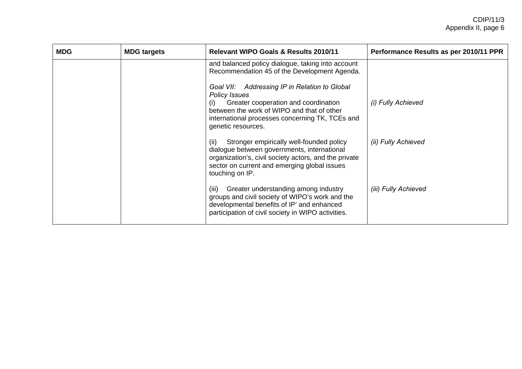| <b>MDG</b> | <b>MDG targets</b> | <b>Relevant WIPO Goals &amp; Results 2010/11</b>                                                                                                                                                                                     | Performance Results as per 2010/11 PPR |
|------------|--------------------|--------------------------------------------------------------------------------------------------------------------------------------------------------------------------------------------------------------------------------------|----------------------------------------|
|            |                    | and balanced policy dialogue, taking into account<br>Recommendation 45 of the Development Agenda.                                                                                                                                    |                                        |
|            |                    | Goal VII: Addressing IP in Relation to Global<br><b>Policy Issues</b><br>Greater cooperation and coordination<br>between the work of WIPO and that of other<br>international processes concerning TK, TCEs and<br>genetic resources. | (i) Fully Achieved                     |
|            |                    | Stronger empirically well-founded policy<br>(ii)<br>dialogue between governments, international<br>organization's, civil society actors, and the private<br>sector on current and emerging global issues<br>touching on IP.          | (ii) Fully Achieved                    |
|            |                    | Greater understanding among industry<br>(iii)<br>groups and civil society of WIPO's work and the<br>developmental benefits of IP' and enhanced<br>participation of civil society in WIPO activities.                                 | (iii) Fully Achieved                   |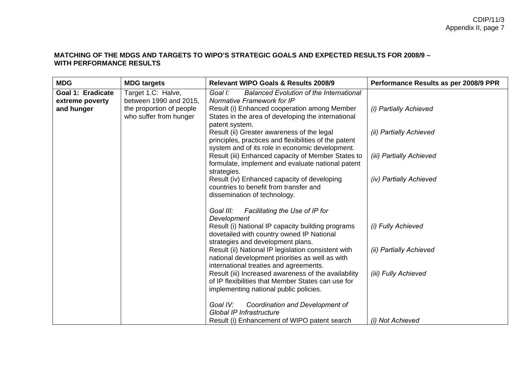#### **MATCHING OF THE MDGS AND TARGETS TO WIPO'S STRATEGIC GOALS AND EXPECTED RESULTS FOR 2008/9 – WITH PERFORMANCE RESULTS**

| <b>MDG</b>                                                | <b>MDG</b> targets                                                                                 | <b>Relevant WIPO Goals &amp; Results 2008/9</b>                                                                                                                                                                 | Performance Results as per 2008/9 PPR |
|-----------------------------------------------------------|----------------------------------------------------------------------------------------------------|-----------------------------------------------------------------------------------------------------------------------------------------------------------------------------------------------------------------|---------------------------------------|
| <b>Goal 1: Eradicate</b><br>extreme poverty<br>and hunger | Target 1.C: Halve,<br>between 1990 and 2015,<br>the proportion of people<br>who suffer from hunger | Goal I:<br><b>Balanced Evolution of the International</b><br>Normative Framework for IP<br>Result (i) Enhanced cooperation among Member<br>States in the area of developing the international<br>patent system. | (i) Partially Achieved                |
|                                                           |                                                                                                    | Result (ii) Greater awareness of the legal<br>principles, practices and flexibilities of the patent<br>system and of its role in economic development.                                                          | (ii) Partially Achieved               |
|                                                           |                                                                                                    | Result (iii) Enhanced capacity of Member States to<br>formulate, implement and evaluate national patent<br>strategies.                                                                                          | (iii) Partially Achieved              |
|                                                           |                                                                                                    | Result (iv) Enhanced capacity of developing<br>countries to benefit from transfer and<br>dissemination of technology.                                                                                           | (iv) Partially Achieved               |
|                                                           |                                                                                                    | Facilitating the Use of IP for<br>Goal III:<br>Development                                                                                                                                                      |                                       |
|                                                           |                                                                                                    | Result (i) National IP capacity building programs<br>dovetailed with country owned IP National<br>strategies and development plans.                                                                             | (i) Fully Achieved                    |
|                                                           |                                                                                                    | Result (ii) National IP legislation consistent with<br>national development priorities as well as with<br>international treaties and agreements.                                                                | (ii) Partially Achieved               |
|                                                           |                                                                                                    | Result (iii) Increased awareness of the availability<br>of IP flexibilities that Member States can use for<br>implementing national public policies.                                                            | (iii) Fully Achieved                  |
|                                                           |                                                                                                    | Goal IV:<br>Coordination and Development of<br>Global IP Infrastructure<br>Result (i) Enhancement of WIPO patent search                                                                                         | (i) Not Achieved                      |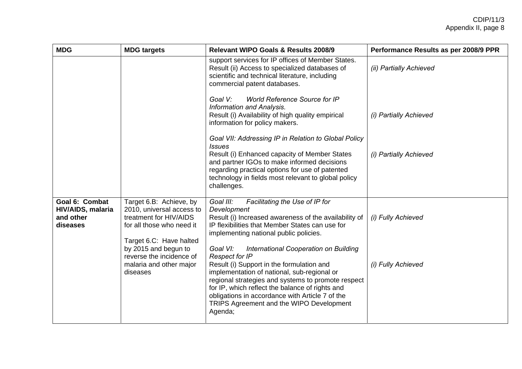| <b>MDG</b>                                                   | <b>MDG targets</b>                                                                                                                                                                                                                | <b>Relevant WIPO Goals &amp; Results 2008/9</b>                                                                                                                                                                                                                                                                                                                                                                                                                                                                                                                                                               | Performance Results as per 2008/9 PPR    |
|--------------------------------------------------------------|-----------------------------------------------------------------------------------------------------------------------------------------------------------------------------------------------------------------------------------|---------------------------------------------------------------------------------------------------------------------------------------------------------------------------------------------------------------------------------------------------------------------------------------------------------------------------------------------------------------------------------------------------------------------------------------------------------------------------------------------------------------------------------------------------------------------------------------------------------------|------------------------------------------|
|                                                              |                                                                                                                                                                                                                                   | support services for IP offices of Member States.<br>Result (ii) Access to specialized databases of<br>scientific and technical literature, including<br>commercial patent databases.                                                                                                                                                                                                                                                                                                                                                                                                                         | (ii) Partially Achieved                  |
|                                                              |                                                                                                                                                                                                                                   | <b>World Reference Source for IP</b><br>Goal V:<br>Information and Analysis.<br>Result (i) Availability of high quality empirical<br>information for policy makers.                                                                                                                                                                                                                                                                                                                                                                                                                                           | (i) Partially Achieved                   |
|                                                              |                                                                                                                                                                                                                                   | Goal VII: Addressing IP in Relation to Global Policy<br><b>Issues</b><br>Result (i) Enhanced capacity of Member States<br>and partner IGOs to make informed decisions<br>regarding practical options for use of patented<br>technology in fields most relevant to global policy<br>challenges.                                                                                                                                                                                                                                                                                                                | (i) Partially Achieved                   |
| Goal 6: Combat<br>HIV/AIDS, malaria<br>and other<br>diseases | Target 6.B: Achieve, by<br>2010, universal access to<br>treatment for HIV/AIDS<br>for all those who need it<br>Target 6.C: Have halted<br>by 2015 and begun to<br>reverse the incidence of<br>malaria and other major<br>diseases | Goal III:<br>Facilitating the Use of IP for<br>Development<br>Result (i) Increased awareness of the availability of<br>IP flexibilities that Member States can use for<br>implementing national public policies.<br>Goal VI:<br>International Cooperation on Building<br><b>Respect for IP</b><br>Result (i) Support in the formulation and<br>implementation of national, sub-regional or<br>regional strategies and systems to promote respect<br>for IP, which reflect the balance of rights and<br>obligations in accordance with Article 7 of the<br>TRIPS Agreement and the WIPO Development<br>Agenda; | (i) Fully Achieved<br>(i) Fully Achieved |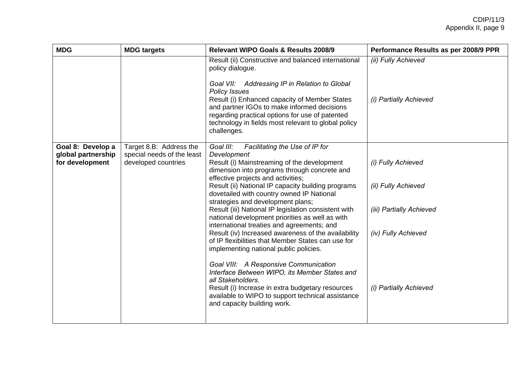| <b>MDG</b>                                                 | <b>MDG targets</b>                                                           | <b>Relevant WIPO Goals &amp; Results 2008/9</b>                                                                                                                                                                                                                                                                                                                                                                                                                                                                                                                                                                                                                                                                                                                                                                                                                                                                | Performance Results as per 2008/9 PPR                                                                                  |
|------------------------------------------------------------|------------------------------------------------------------------------------|----------------------------------------------------------------------------------------------------------------------------------------------------------------------------------------------------------------------------------------------------------------------------------------------------------------------------------------------------------------------------------------------------------------------------------------------------------------------------------------------------------------------------------------------------------------------------------------------------------------------------------------------------------------------------------------------------------------------------------------------------------------------------------------------------------------------------------------------------------------------------------------------------------------|------------------------------------------------------------------------------------------------------------------------|
|                                                            |                                                                              | Result (ii) Constructive and balanced international<br>policy dialogue.<br>Goal VII: Addressing IP in Relation to Global<br><b>Policy Issues</b><br>Result (i) Enhanced capacity of Member States<br>and partner IGOs to make informed decisions<br>regarding practical options for use of patented<br>technology in fields most relevant to global policy<br>challenges.                                                                                                                                                                                                                                                                                                                                                                                                                                                                                                                                      | (ii) Fully Achieved<br>(i) Partially Achieved                                                                          |
| Goal 8: Develop a<br>global partnership<br>for development | Target 8.B: Address the<br>special needs of the least<br>developed countries | Goal III:<br>Facilitating the Use of IP for<br>Development<br>Result (i) Mainstreaming of the development<br>dimension into programs through concrete and<br>effective projects and activities;<br>Result (ii) National IP capacity building programs<br>dovetailed with country owned IP National<br>strategies and development plans;<br>Result (iii) National IP legislation consistent with<br>national development priorities as well as with<br>international treaties and agreements; and<br>Result (iv) Increased awareness of the availability<br>of IP flexibilities that Member States can use for<br>implementing national public policies.<br>Goal VIII: A Responsive Communication<br>Interface Between WIPO, its Member States and<br>all Stakeholders.<br>Result (i) Increase in extra budgetary resources<br>available to WIPO to support technical assistance<br>and capacity building work. | (i) Fully Achieved<br>(ii) Fully Achieved<br>(iii) Partially Achieved<br>(iv) Fully Achieved<br>(i) Partially Achieved |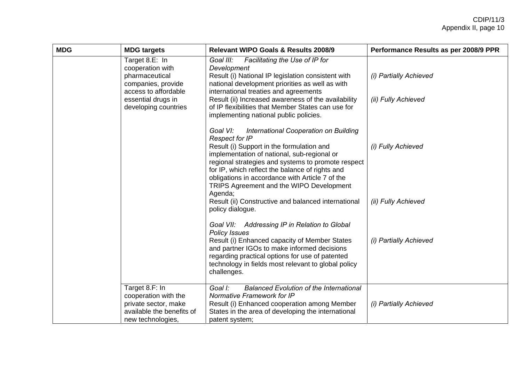| <b>MDG</b> | <b>MDG targets</b>                                                                                                                               | <b>Relevant WIPO Goals &amp; Results 2008/9</b>                                                                                                                                                                                                                                                                                                                                                                                                                      | Performance Results as per 2008/9 PPR         |
|------------|--------------------------------------------------------------------------------------------------------------------------------------------------|----------------------------------------------------------------------------------------------------------------------------------------------------------------------------------------------------------------------------------------------------------------------------------------------------------------------------------------------------------------------------------------------------------------------------------------------------------------------|-----------------------------------------------|
|            | Target 8.E: In<br>cooperation with<br>pharmaceutical<br>companies, provide<br>access to affordable<br>essential drugs in<br>developing countries | Facilitating the Use of IP for<br>Goal III:<br>Development<br>Result (i) National IP legislation consistent with<br>national development priorities as well as with<br>international treaties and agreements<br>Result (ii) Increased awareness of the availability<br>of IP flexibilities that Member States can use for<br>implementing national public policies.                                                                                                  | (i) Partially Achieved<br>(ii) Fully Achieved |
|            |                                                                                                                                                  | Goal VI:<br>International Cooperation on Building<br><b>Respect for IP</b><br>Result (i) Support in the formulation and<br>implementation of national, sub-regional or<br>regional strategies and systems to promote respect<br>for IP, which reflect the balance of rights and<br>obligations in accordance with Article 7 of the<br>TRIPS Agreement and the WIPO Development<br>Agenda;<br>Result (ii) Constructive and balanced international<br>policy dialogue. | (i) Fully Achieved<br>(ii) Fully Achieved     |
|            |                                                                                                                                                  | Goal VII: Addressing IP in Relation to Global<br><b>Policy Issues</b><br>Result (i) Enhanced capacity of Member States<br>and partner IGOs to make informed decisions<br>regarding practical options for use of patented<br>technology in fields most relevant to global policy<br>challenges.                                                                                                                                                                       | (i) Partially Achieved                        |
|            | Target 8.F: In<br>cooperation with the<br>private sector, make<br>available the benefits of<br>new technologies,                                 | Goal I:<br><b>Balanced Evolution of the International</b><br>Normative Framework for IP<br>Result (i) Enhanced cooperation among Member<br>States in the area of developing the international<br>patent system;                                                                                                                                                                                                                                                      | (i) Partially Achieved                        |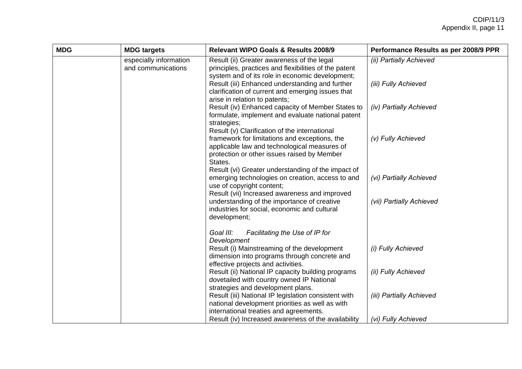| <b>MDG</b> | <b>MDG targets</b>                           | Relevant WIPO Goals & Results 2008/9                                                                                                                                                   | Performance Results as per 2008/9 PPR |
|------------|----------------------------------------------|----------------------------------------------------------------------------------------------------------------------------------------------------------------------------------------|---------------------------------------|
|            | especially information<br>and communications | Result (ii) Greater awareness of the legal<br>principles, practices and flexibilities of the patent<br>system and of its role in economic development;                                 | (ii) Partially Achieved               |
|            |                                              | Result (iii) Enhanced understanding and further<br>clarification of current and emerging issues that<br>arise in relation to patents;                                                  | (iii) Fully Achieved                  |
|            |                                              | Result (iv) Enhanced capacity of Member States to<br>formulate, implement and evaluate national patent<br>strategies;<br>Result (v) Clarification of the international                 | (iv) Partially Achieved               |
|            |                                              | framework for limitations and exceptions, the<br>applicable law and technological measures of<br>protection or other issues raised by Member<br>States.                                | (v) Fully Achieved                    |
|            |                                              | Result (vi) Greater understanding of the impact of<br>emerging technologies on creation, access to and<br>use of copyright content;<br>Result (vii) Increased awareness and improved   | (vi) Partially Achieved               |
|            |                                              | understanding of the importance of creative<br>industries for social, economic and cultural<br>development;                                                                            | (vii) Partially Achieved              |
|            |                                              | Goal III:<br>Facilitating the Use of IP for<br>Development                                                                                                                             |                                       |
|            |                                              | Result (i) Mainstreaming of the development<br>dimension into programs through concrete and<br>effective projects and activities.                                                      | (i) Fully Achieved                    |
|            |                                              | Result (ii) National IP capacity building programs<br>dovetailed with country owned IP National                                                                                        | (ii) Fully Achieved                   |
|            |                                              | strategies and development plans.<br>Result (iii) National IP legislation consistent with<br>national development priorities as well as with<br>international treaties and agreements. | (iii) Partially Achieved              |
|            |                                              | Result (iv) Increased awareness of the availability                                                                                                                                    | (vi) Fully Achieved                   |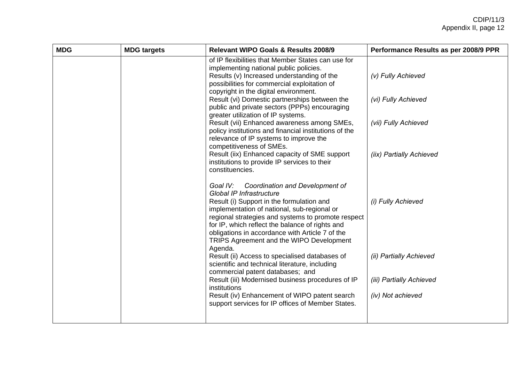| <b>MDG</b> | <b>MDG targets</b> | <b>Relevant WIPO Goals &amp; Results 2008/9</b>                                                                                                                                                                                                                                                                                                                                    | Performance Results as per 2008/9 PPR |
|------------|--------------------|------------------------------------------------------------------------------------------------------------------------------------------------------------------------------------------------------------------------------------------------------------------------------------------------------------------------------------------------------------------------------------|---------------------------------------|
|            |                    | of IP flexibilities that Member States can use for<br>implementing national public policies.<br>Results (v) Increased understanding of the<br>possibilities for commercial exploitation of<br>copyright in the digital environment.                                                                                                                                                | (v) Fully Achieved                    |
|            |                    | Result (vi) Domestic partnerships between the<br>public and private sectors (PPPs) encouraging<br>greater utilization of IP systems.                                                                                                                                                                                                                                               | (vi) Fully Achieved                   |
|            |                    | Result (vii) Enhanced awareness among SMEs,<br>policy institutions and financial institutions of the<br>relevance of IP systems to improve the                                                                                                                                                                                                                                     | (vii) Fully Achieved                  |
|            |                    | competitiveness of SMEs.<br>Result (iix) Enhanced capacity of SME support<br>institutions to provide IP services to their<br>constituencies.                                                                                                                                                                                                                                       | (iix) Partially Achieved              |
|            |                    | Coordination and Development of<br>Goal IV:<br><b>Global IP Infrastructure</b><br>Result (i) Support in the formulation and<br>implementation of national, sub-regional or<br>regional strategies and systems to promote respect<br>for IP, which reflect the balance of rights and<br>obligations in accordance with Article 7 of the<br>TRIPS Agreement and the WIPO Development | (i) Fully Achieved                    |
|            |                    | Agenda.<br>Result (ii) Access to specialised databases of<br>scientific and technical literature, including                                                                                                                                                                                                                                                                        | (ii) Partially Achieved               |
|            |                    | commercial patent databases; and<br>Result (iii) Modernised business procedures of IP<br>institutions                                                                                                                                                                                                                                                                              | (iii) Partially Achieved              |
|            |                    | Result (iv) Enhancement of WIPO patent search<br>support services for IP offices of Member States.                                                                                                                                                                                                                                                                                 | (iv) Not achieved                     |